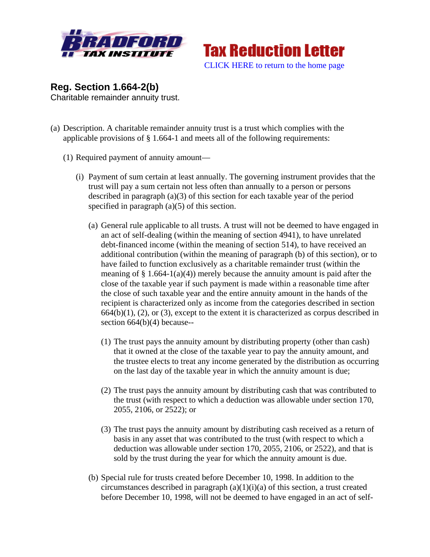



**Reg. Section 1.664-2(b)** Charitable remainder annuity trust.

- (a) Description. A charitable remainder annuity trust is a trust which complies with the applicable provisions of  $\S$  1.664-1 and meets all of the following requirements:
	- (1) Required payment of annuity amount—
		- (i) Payment of sum certain at least annually. The governing instrument provides that the trust will pay a sum certain not less often than annually to a person or persons described in paragraph (a)(3) of this section for each taxable year of the period specified in paragraph (a)(5) of this section.
			- (a) General rule applicable to all trusts. A trust will not be deemed to have engaged in an act of self-dealing (within the meaning of section 4941), to have unrelated debt-financed income (within the meaning of section 514), to have received an additional contribution (within the meaning of paragraph (b) of this section), or to have failed to function exclusively as a charitable remainder trust (within the meaning of  $\S 1.664-1(a)(4)$  merely because the annuity amount is paid after the close of the taxable year if such payment is made within a reasonable time after the close of such taxable year and the entire annuity amount in the hands of the recipient is characterized only as income from the categories described in section  $664(b)(1)$ , (2), or (3), except to the extent it is characterized as corpus described in section 664(b)(4) because--
				- (1) The trust pays the annuity amount by distributing property (other than cash) that it owned at the close of the taxable year to pay the annuity amount, and the trustee elects to treat any income generated by the distribution as occurring on the last day of the taxable year in which the annuity amount is due;
				- (2) The trust pays the annuity amount by distributing cash that was contributed to the trust (with respect to which a deduction was allowable under section 170, 2055, 2106, or 2522); or
				- (3) The trust pays the annuity amount by distributing cash received as a return of basis in any asset that was contributed to the trust (with respect to which a deduction was allowable under section 170, 2055, 2106, or 2522), and that is sold by the trust during the year for which the annuity amount is due.
			- (b) Special rule for trusts created before December 10, 1998. In addition to the circumstances described in paragraph  $(a)(1)(i)(a)$  of this section, a trust created before December 10, 1998, will not be deemed to have engaged in an act of self-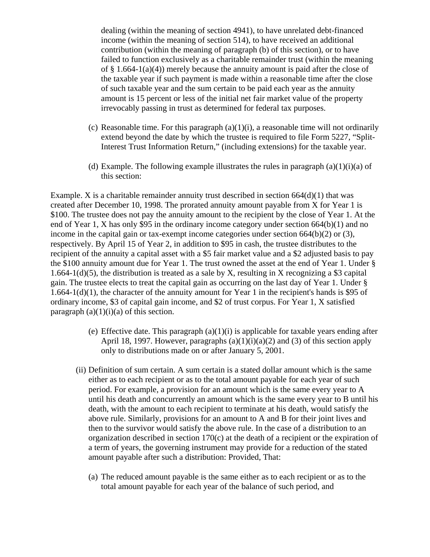dealing (within the meaning of section 4941), to have unrelated debt-financed income (within the meaning of section 514), to have received an additional contribution (within the meaning of paragraph (b) of this section), or to have failed to function exclusively as a charitable remainder trust (within the meaning of  $\S$  1.664-1(a)(4)) merely because the annuity amount is paid after the close of the taxable year if such payment is made within a reasonable time after the close of such taxable year and the sum certain to be paid each year as the annuity amount is 15 percent or less of the initial net fair market value of the property irrevocably passing in trust as determined for federal tax purposes.

- (c) Reasonable time. For this paragraph  $(a)(1)(i)$ , a reasonable time will not ordinarily extend beyond the date by which the trustee is required to file Form 5227, "Split-Interest Trust Information Return," (including extensions) for the taxable year.
- (d) Example. The following example illustrates the rules in paragraph  $(a)(1)(i)(a)$  of this section:

Example. X is a charitable remainder annuity trust described in section  $664(d)(1)$  that was created after December 10, 1998. The prorated annuity amount payable from X for Year 1 is \$100. The trustee does not pay the annuity amount to the recipient by the close of Year 1. At the end of Year 1, X has only \$95 in the ordinary income category under section 664(b)(1) and no income in the capital gain or tax-exempt income categories under section 664(b)(2) or (3), respectively. By April 15 of Year 2, in addition to \$95 in cash, the trustee distributes to the recipient of the annuity a capital asset with a \$5 fair market value and a \$2 adjusted basis to pay the \$100 annuity amount due for Year 1. The trust owned the asset at the end of Year 1. Under § 1.664-1(d)(5), the distribution is treated as a sale by X, resulting in X recognizing a \$3 capital gain. The trustee elects to treat the capital gain as occurring on the last day of Year 1. Under § 1.664-1(d)(1), the character of the annuity amount for Year 1 in the recipient's hands is \$95 of ordinary income, \$3 of capital gain income, and \$2 of trust corpus. For Year 1, X satisfied paragraph  $(a)(1)(i)(a)$  of this section.

- (e) Effective date. This paragraph  $(a)(1)(i)$  is applicable for taxable years ending after April 18, 1997. However, paragraphs  $(a)(1)(i)(a)(2)$  and  $(3)$  of this section apply only to distributions made on or after January 5, 2001.
- (ii) Definition of sum certain. A sum certain is a stated dollar amount which is the same either as to each recipient or as to the total amount payable for each year of such period. For example, a provision for an amount which is the same every year to A until his death and concurrently an amount which is the same every year to B until his death, with the amount to each recipient to terminate at his death, would satisfy the above rule. Similarly, provisions for an amount to A and B for their joint lives and then to the survivor would satisfy the above rule. In the case of a distribution to an organization described in section 170(c) at the death of a recipient or the expiration of a term of years, the governing instrument may provide for a reduction of the stated amount payable after such a distribution: Provided, That:
	- (a) The reduced amount payable is the same either as to each recipient or as to the total amount payable for each year of the balance of such period, and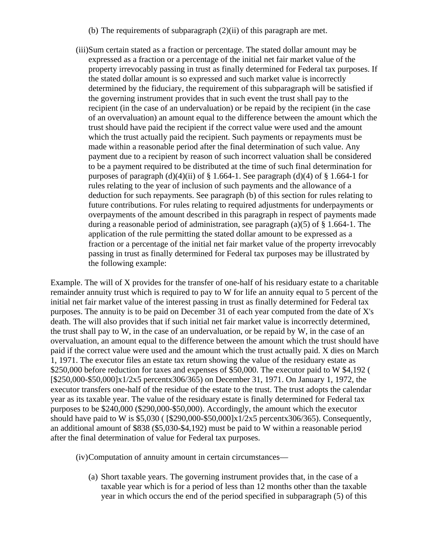- (b) The requirements of subparagraph (2)(ii) of this paragraph are met.
- (iii)Sum certain stated as a fraction or percentage. The stated dollar amount may be expressed as a fraction or a percentage of the initial net fair market value of the property irrevocably passing in trust as finally determined for Federal tax purposes. If the stated dollar amount is so expressed and such market value is incorrectly determined by the fiduciary, the requirement of this subparagraph will be satisfied if the governing instrument provides that in such event the trust shall pay to the recipient (in the case of an undervaluation) or be repaid by the recipient (in the case of an overvaluation) an amount equal to the difference between the amount which the trust should have paid the recipient if the correct value were used and the amount which the trust actually paid the recipient. Such payments or repayments must be made within a reasonable period after the final determination of such value. Any payment due to a recipient by reason of such incorrect valuation shall be considered to be a payment required to be distributed at the time of such final determination for purposes of paragraph (d)(4)(ii) of  $\S$  1.664-1. See paragraph (d)(4) of  $\S$  1.664-1 for rules relating to the year of inclusion of such payments and the allowance of a deduction for such repayments. See paragraph (b) of this section for rules relating to future contributions. For rules relating to required adjustments for underpayments or overpayments of the amount described in this paragraph in respect of payments made during a reasonable period of administration, see paragraph  $(a)(5)$  of  $\S 1.664-1$ . The application of the rule permitting the stated dollar amount to be expressed as a fraction or a percentage of the initial net fair market value of the property irrevocably passing in trust as finally determined for Federal tax purposes may be illustrated by the following example:

Example. The will of X provides for the transfer of one-half of his residuary estate to a charitable remainder annuity trust which is required to pay to W for life an annuity equal to 5 percent of the initial net fair market value of the interest passing in trust as finally determined for Federal tax purposes. The annuity is to be paid on December 31 of each year computed from the date of X's death. The will also provides that if such initial net fair market value is incorrectly determined, the trust shall pay to W, in the case of an undervaluation, or be repaid by W, in the case of an overvaluation, an amount equal to the difference between the amount which the trust should have paid if the correct value were used and the amount which the trust actually paid. X dies on March 1, 1971. The executor files an estate tax return showing the value of the residuary estate as \$250,000 before reduction for taxes and expenses of \$50,000. The executor paid to W \$4,192 ( [\$250,000-\$50,000]x1/2x5 percentx306/365) on December 31, 1971. On January 1, 1972, the executor transfers one-half of the residue of the estate to the trust. The trust adopts the calendar year as its taxable year. The value of the residuary estate is finally determined for Federal tax purposes to be \$240,000 (\$290,000-\$50,000). Accordingly, the amount which the executor should have paid to W is \$5,030 ( [\$290,000-\$50,000]x1/2x5 percentx306/365). Consequently, an additional amount of \$838 (\$5,030-\$4,192) must be paid to W within a reasonable period after the final determination of value for Federal tax purposes.

(iv)Computation of annuity amount in certain circumstances—

(a) Short taxable years. The governing instrument provides that, in the case of a taxable year which is for a period of less than 12 months other than the taxable year in which occurs the end of the period specified in subparagraph (5) of this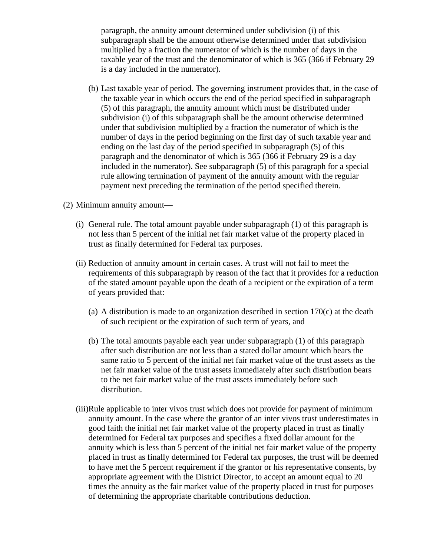paragraph, the annuity amount determined under subdivision (i) of this subparagraph shall be the amount otherwise determined under that subdivision multiplied by a fraction the numerator of which is the number of days in the taxable year of the trust and the denominator of which is 365 (366 if February 29 is a day included in the numerator).

- (b) Last taxable year of period. The governing instrument provides that, in the case of the taxable year in which occurs the end of the period specified in subparagraph (5) of this paragraph, the annuity amount which must be distributed under subdivision (i) of this subparagraph shall be the amount otherwise determined under that subdivision multiplied by a fraction the numerator of which is the number of days in the period beginning on the first day of such taxable year and ending on the last day of the period specified in subparagraph (5) of this paragraph and the denominator of which is 365 (366 if February 29 is a day included in the numerator). See subparagraph (5) of this paragraph for a special rule allowing termination of payment of the annuity amount with the regular payment next preceding the termination of the period specified therein.
- (2) Minimum annuity amount—
	- (i) General rule. The total amount payable under subparagraph (1) of this paragraph is not less than 5 percent of the initial net fair market value of the property placed in trust as finally determined for Federal tax purposes.
	- (ii) Reduction of annuity amount in certain cases. A trust will not fail to meet the requirements of this subparagraph by reason of the fact that it provides for a reduction of the stated amount payable upon the death of a recipient or the expiration of a term of years provided that:
		- (a) A distribution is made to an organization described in section 170(c) at the death of such recipient or the expiration of such term of years, and
		- (b) The total amounts payable each year under subparagraph (1) of this paragraph after such distribution are not less than a stated dollar amount which bears the same ratio to 5 percent of the initial net fair market value of the trust assets as the net fair market value of the trust assets immediately after such distribution bears to the net fair market value of the trust assets immediately before such distribution.
	- (iii)Rule applicable to inter vivos trust which does not provide for payment of minimum annuity amount. In the case where the grantor of an inter vivos trust underestimates in good faith the initial net fair market value of the property placed in trust as finally determined for Federal tax purposes and specifies a fixed dollar amount for the annuity which is less than 5 percent of the initial net fair market value of the property placed in trust as finally determined for Federal tax purposes, the trust will be deemed to have met the 5 percent requirement if the grantor or his representative consents, by appropriate agreement with the District Director, to accept an amount equal to 20 times the annuity as the fair market value of the property placed in trust for purposes of determining the appropriate charitable contributions deduction.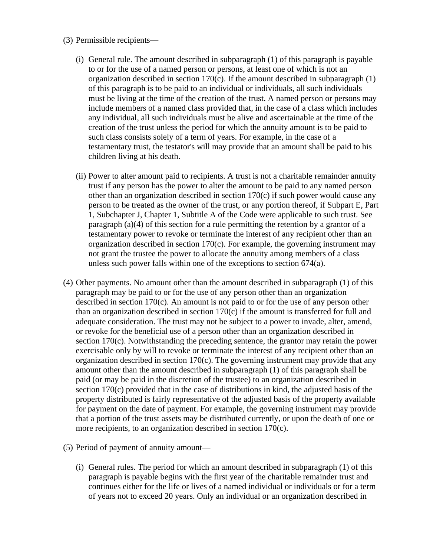- (3) Permissible recipients—
	- (i) General rule. The amount described in subparagraph (1) of this paragraph is payable to or for the use of a named person or persons, at least one of which is not an organization described in section 170(c). If the amount described in subparagraph (1) of this paragraph is to be paid to an individual or individuals, all such individuals must be living at the time of the creation of the trust. A named person or persons may include members of a named class provided that, in the case of a class which includes any individual, all such individuals must be alive and ascertainable at the time of the creation of the trust unless the period for which the annuity amount is to be paid to such class consists solely of a term of years. For example, in the case of a testamentary trust, the testator's will may provide that an amount shall be paid to his children living at his death.
	- (ii) Power to alter amount paid to recipients. A trust is not a charitable remainder annuity trust if any person has the power to alter the amount to be paid to any named person other than an organization described in section 170(c) if such power would cause any person to be treated as the owner of the trust, or any portion thereof, if Subpart E, Part 1, Subchapter J, Chapter 1, Subtitle A of the Code were applicable to such trust. See paragraph (a)(4) of this section for a rule permitting the retention by a grantor of a testamentary power to revoke or terminate the interest of any recipient other than an organization described in section 170(c). For example, the governing instrument may not grant the trustee the power to allocate the annuity among members of a class unless such power falls within one of the exceptions to section 674(a).
- (4) Other payments. No amount other than the amount described in subparagraph (1) of this paragraph may be paid to or for the use of any person other than an organization described in section 170(c). An amount is not paid to or for the use of any person other than an organization described in section 170(c) if the amount is transferred for full and adequate consideration. The trust may not be subject to a power to invade, alter, amend, or revoke for the beneficial use of a person other than an organization described in section 170(c). Notwithstanding the preceding sentence, the grantor may retain the power exercisable only by will to revoke or terminate the interest of any recipient other than an organization described in section 170(c). The governing instrument may provide that any amount other than the amount described in subparagraph (1) of this paragraph shall be paid (or may be paid in the discretion of the trustee) to an organization described in section 170(c) provided that in the case of distributions in kind, the adjusted basis of the property distributed is fairly representative of the adjusted basis of the property available for payment on the date of payment. For example, the governing instrument may provide that a portion of the trust assets may be distributed currently, or upon the death of one or more recipients, to an organization described in section 170(c).
- (5) Period of payment of annuity amount—
	- (i) General rules. The period for which an amount described in subparagraph (1) of this paragraph is payable begins with the first year of the charitable remainder trust and continues either for the life or lives of a named individual or individuals or for a term of years not to exceed 20 years. Only an individual or an organization described in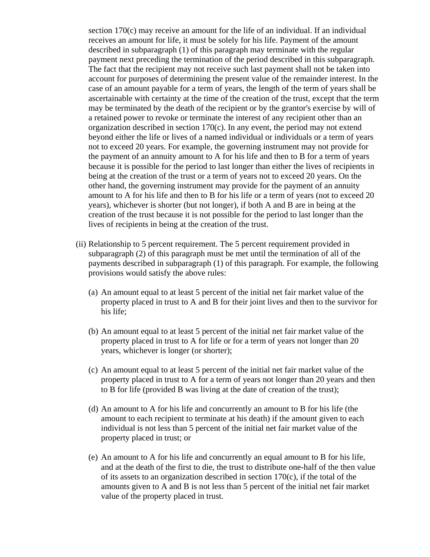section 170(c) may receive an amount for the life of an individual. If an individual receives an amount for life, it must be solely for his life. Payment of the amount described in subparagraph (1) of this paragraph may terminate with the regular payment next preceding the termination of the period described in this subparagraph. The fact that the recipient may not receive such last payment shall not be taken into account for purposes of determining the present value of the remainder interest. In the case of an amount payable for a term of years, the length of the term of years shall be ascertainable with certainty at the time of the creation of the trust, except that the term may be terminated by the death of the recipient or by the grantor's exercise by will of a retained power to revoke or terminate the interest of any recipient other than an organization described in section 170(c). In any event, the period may not extend beyond either the life or lives of a named individual or individuals or a term of years not to exceed 20 years. For example, the governing instrument may not provide for the payment of an annuity amount to A for his life and then to B for a term of years because it is possible for the period to last longer than either the lives of recipients in being at the creation of the trust or a term of years not to exceed 20 years. On the other hand, the governing instrument may provide for the payment of an annuity amount to A for his life and then to B for his life or a term of years (not to exceed 20 years), whichever is shorter (but not longer), if both A and B are in being at the creation of the trust because it is not possible for the period to last longer than the lives of recipients in being at the creation of the trust.

- (ii) Relationship to 5 percent requirement. The 5 percent requirement provided in subparagraph (2) of this paragraph must be met until the termination of all of the payments described in subparagraph (1) of this paragraph. For example, the following provisions would satisfy the above rules:
	- (a) An amount equal to at least 5 percent of the initial net fair market value of the property placed in trust to A and B for their joint lives and then to the survivor for his life;
	- (b) An amount equal to at least 5 percent of the initial net fair market value of the property placed in trust to A for life or for a term of years not longer than 20 years, whichever is longer (or shorter);
	- (c) An amount equal to at least 5 percent of the initial net fair market value of the property placed in trust to A for a term of years not longer than 20 years and then to B for life (provided B was living at the date of creation of the trust);
	- (d) An amount to A for his life and concurrently an amount to B for his life (the amount to each recipient to terminate at his death) if the amount given to each individual is not less than 5 percent of the initial net fair market value of the property placed in trust; or
	- (e) An amount to A for his life and concurrently an equal amount to B for his life, and at the death of the first to die, the trust to distribute one-half of the then value of its assets to an organization described in section 170(c), if the total of the amounts given to A and B is not less than 5 percent of the initial net fair market value of the property placed in trust.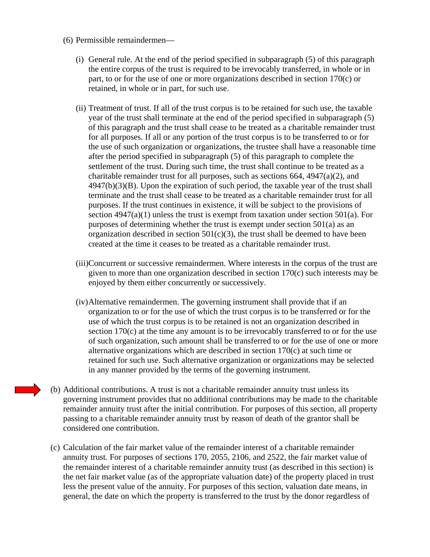- (6) Permissible remaindermen—
	- (i) General rule. At the end of the period specified in subparagraph (5) of this paragraph the entire corpus of the trust is required to be irrevocably transferred, in whole or in part, to or for the use of one or more organizations described in section 170(c) or retained, in whole or in part, for such use.
	- (ii) Treatment of trust. If all of the trust corpus is to be retained for such use, the taxable year of the trust shall terminate at the end of the period specified in subparagraph (5) of this paragraph and the trust shall cease to be treated as a charitable remainder trust for all purposes. If all or any portion of the trust corpus is to be transferred to or for the use of such organization or organizations, the trustee shall have a reasonable time after the period specified in subparagraph (5) of this paragraph to complete the settlement of the trust. During such time, the trust shall continue to be treated as a charitable remainder trust for all purposes, such as sections 664, 4947(a)(2), and 4947(b)(3)(B). Upon the expiration of such period, the taxable year of the trust shall terminate and the trust shall cease to be treated as a charitable remainder trust for all purposes. If the trust continues in existence, it will be subject to the provisions of section  $4947(a)(1)$  unless the trust is exempt from taxation under section  $501(a)$ . For purposes of determining whether the trust is exempt under section 501(a) as an organization described in section  $501(c)(3)$ , the trust shall be deemed to have been created at the time it ceases to be treated as a charitable remainder trust.
	- (iii)Concurrent or successive remaindermen. Where interests in the corpus of the trust are given to more than one organization described in section 170(c) such interests may be enjoyed by them either concurrently or successively.
	- (iv)Alternative remaindermen. The governing instrument shall provide that if an organization to or for the use of which the trust corpus is to be transferred or for the use of which the trust corpus is to be retained is not an organization described in section 170(c) at the time any amount is to be irrevocably transferred to or for the use of such organization, such amount shall be transferred to or for the use of one or more alternative organizations which are described in section 170(c) at such time or retained for such use. Such alternative organization or organizations may be selected in any manner provided by the terms of the governing instrument.
- (b) Additional contributions. A trust is not a charitable remainder annuity trust unless its governing instrument provides that no additional contributions may be made to the charitable remainder annuity trust after the initial contribution. For purposes of this section, all property passing to a charitable remainder annuity trust by reason of death of the grantor shall be considered one contribution.
- (c) Calculation of the fair market value of the remainder interest of a charitable remainder annuity trust. For purposes of sections 170, 2055, 2106, and 2522, the fair market value of the remainder interest of a charitable remainder annuity trust (as described in this section) is the net fair market value (as of the appropriate valuation date) of the property placed in trust less the present value of the annuity. For purposes of this section, valuation date means, in general, the date on which the property is transferred to the trust by the donor regardless of